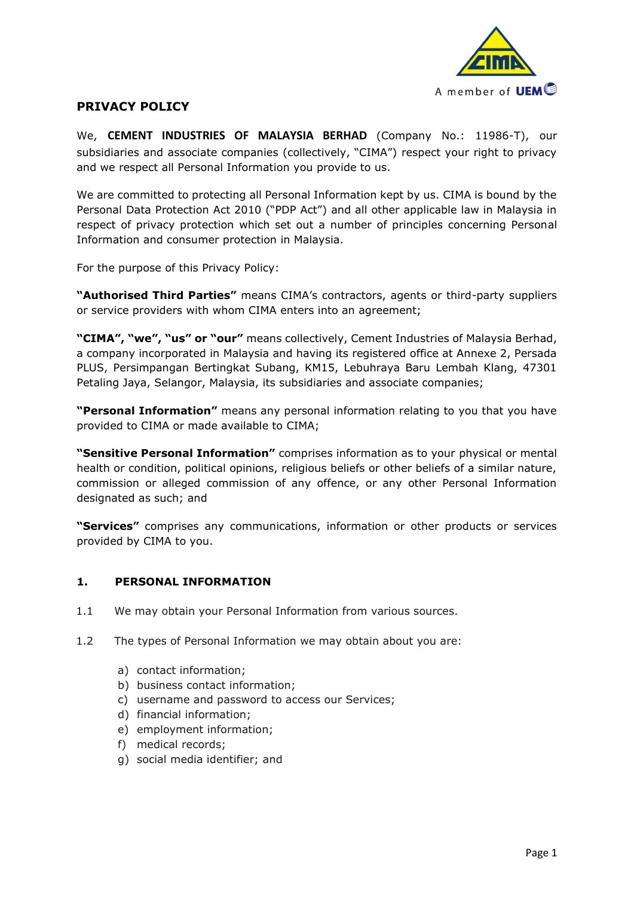

# **PRIVACY POLICY**

We, **CEMENT INDUSTRIES OF MALAYSIA BERHAD** (Company No.: 11986-T), our subsidiaries and associate companies (collectively, "CIMA") respect your right to privacy and we respect all Personal Information you provide to us.

We are committed to protecting all Personal Information kept by us. CIMA is bound by the Personal Data Protection Act 2010 ("PDP Act") and all other applicable law in Malaysia in respect of privacy protection which set out a number of principles concerning Personal Information and consumer protection in Malaysia.

For the purpose of this Privacy Policy:

**"Authorised Third Parties"** means CIMA's contractors, agents or third-party suppliers or service providers with whom CIMA enters into an agreement;

**"CIMA", "we", "us" or "our"** means collectively, Cement Industries of Malaysia Berhad, a company incorporated in Malaysia and having its registered office at Annexe 2, Persada PLUS, Persimpangan Bertingkat Subang, KM15, Lebuhraya Baru Lembah Klang, 47301 Petaling Jaya, Selangor, Malaysia, its subsidiaries and associate companies;

**"Personal Information"** means any personal information relating to you that you have provided to CIMA or made available to CIMA;

**"Sensitive Personal Information"** comprises information as to your physical or mental health or condition, political opinions, religious beliefs or other beliefs of a similar nature, commission or alleged commission of any offence, or any other Personal Information designated as such; and

**"Services"** comprises any communications, information or other products or services provided by CIMA to you.

# **1. PERSONAL INFORMATION**

- 1.1 We may obtain your Personal Information from various sources.
- 1.2 The types of Personal Information we may obtain about you are:
	- a) contact information;
	- b) business contact information;
	- c) username and password to access our Services;
	- d) financial information;
	- e) employment information;
	- f) medical records;
	- g) social media identifier; and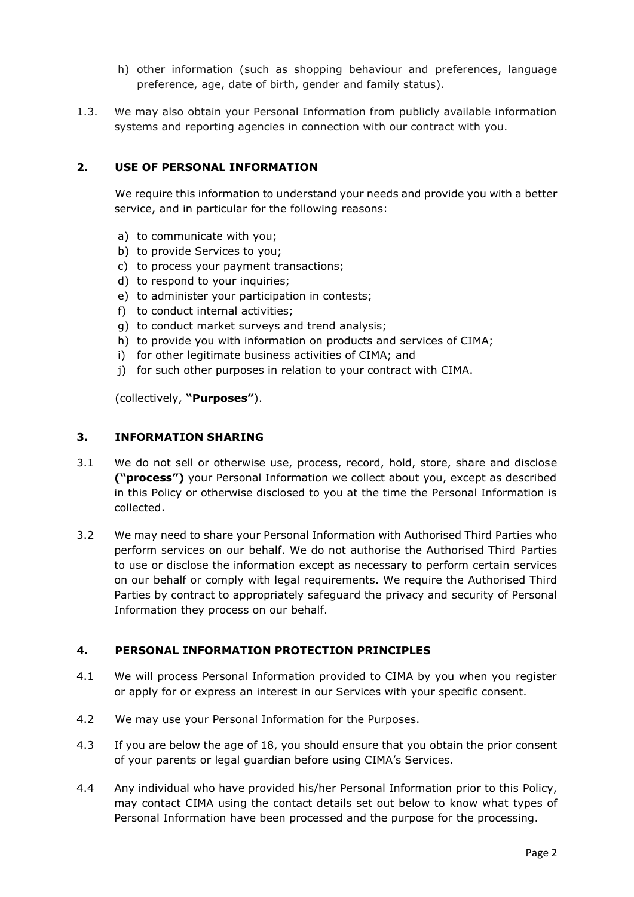- h) other information (such as shopping behaviour and preferences, language preference, age, date of birth, gender and family status).
- 1.3. We may also obtain your Personal Information from publicly available information systems and reporting agencies in connection with our contract with you.

## **2. USE OF PERSONAL INFORMATION**

We require this information to understand your needs and provide you with a better service, and in particular for the following reasons:

- a) to communicate with you;
- b) to provide Services to you;
- c) to process your payment transactions;
- d) to respond to your inquiries;
- e) to administer your participation in contests;
- f) to conduct internal activities;
- g) to conduct market surveys and trend analysis;
- h) to provide you with information on products and services of CIMA;
- i) for other legitimate business activities of CIMA; and
- j) for such other purposes in relation to your contract with CIMA.

(collectively, **"Purposes"**).

## **3. INFORMATION SHARING**

- 3.1 We do not sell or otherwise use, process, record, hold, store, share and disclose **("process")** your Personal Information we collect about you, except as described in this Policy or otherwise disclosed to you at the time the Personal Information is collected.
- 3.2 We may need to share your Personal Information with Authorised Third Parties who perform services on our behalf. We do not authorise the Authorised Third Parties to use or disclose the information except as necessary to perform certain services on our behalf or comply with legal requirements. We require the Authorised Third Parties by contract to appropriately safeguard the privacy and security of Personal Information they process on our behalf.

## **4. PERSONAL INFORMATION PROTECTION PRINCIPLES**

- 4.1 We will process Personal Information provided to CIMA by you when you register or apply for or express an interest in our Services with your specific consent.
- 4.2 We may use your Personal Information for the Purposes.
- 4.3 If you are below the age of 18, you should ensure that you obtain the prior consent of your parents or legal guardian before using CIMA's Services.
- 4.4 Any individual who have provided his/her Personal Information prior to this Policy, may contact CIMA using the contact details set out below to know what types of Personal Information have been processed and the purpose for the processing.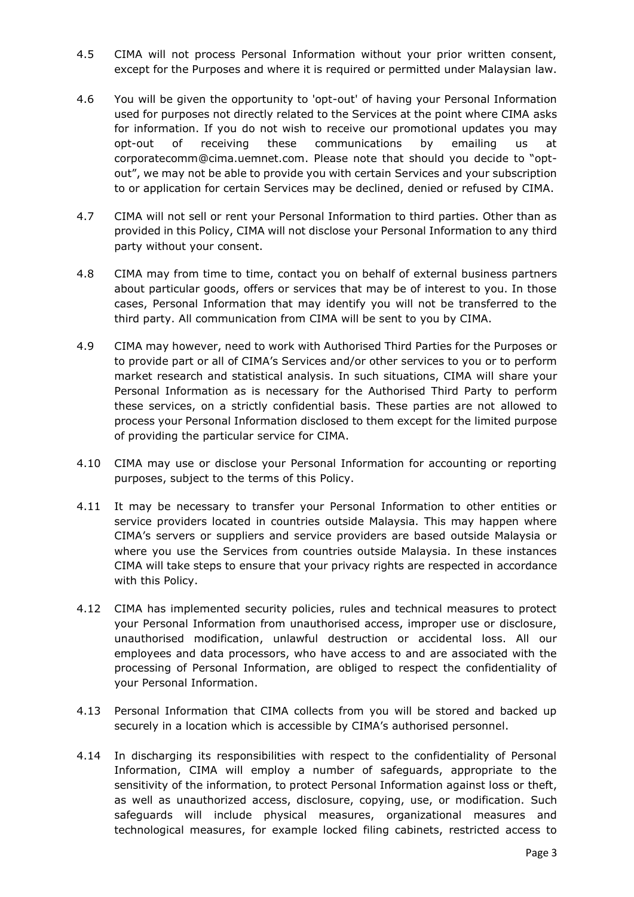- 4.5 CIMA will not process Personal Information without your prior written consent, except for the Purposes and where it is required or permitted under Malaysian law.
- 4.6 You will be given the opportunity to 'opt-out' of having your Personal Information used for purposes not directly related to the Services at the point where CIMA asks for information. If you do not wish to receive our promotional updates you may opt-out of receiving these communications by emailing us at [corporatecomm@cima.uemnet.com.](mailto:corporatecomm@cima.uemnet.com) Please note that should you decide to "optout", we may not be able to provide you with certain Services and your subscription to or application for certain Services may be declined, denied or refused by CIMA.
- 4.7 CIMA will not sell or rent your Personal Information to third parties. Other than as provided in this Policy, CIMA will not disclose your Personal Information to any third party without your consent.
- 4.8 CIMA may from time to time, contact you on behalf of external business partners about particular goods, offers or services that may be of interest to you. In those cases, Personal Information that may identify you will not be transferred to the third party. All communication from CIMA will be sent to you by CIMA.
- 4.9 CIMA may however, need to work with Authorised Third Parties for the Purposes or to provide part or all of CIMA's Services and/or other services to you or to perform market research and statistical analysis. In such situations, CIMA will share your Personal Information as is necessary for the Authorised Third Party to perform these services, on a strictly confidential basis. These parties are not allowed to process your Personal Information disclosed to them except for the limited purpose of providing the particular service for CIMA.
- 4.10 CIMA may use or disclose your Personal Information for accounting or reporting purposes, subject to the terms of this Policy.
- 4.11 It may be necessary to transfer your Personal Information to other entities or service providers located in countries outside Malaysia. This may happen where CIMA's servers or suppliers and service providers are based outside Malaysia or where you use the Services from countries outside Malaysia. In these instances CIMA will take steps to ensure that your privacy rights are respected in accordance with this Policy.
- 4.12 CIMA has implemented security policies, rules and technical measures to protect your Personal Information from unauthorised access, improper use or disclosure, unauthorised modification, unlawful destruction or accidental loss. All our employees and data processors, who have access to and are associated with the processing of Personal Information, are obliged to respect the confidentiality of your Personal Information.
- 4.13 Personal Information that CIMA collects from you will be stored and backed up securely in a location which is accessible by CIMA's authorised personnel.
- 4.14 In discharging its responsibilities with respect to the confidentiality of Personal Information, CIMA will employ a number of safeguards, appropriate to the sensitivity of the information, to protect Personal Information against loss or theft, as well as unauthorized access, disclosure, copying, use, or modification. Such safeguards will include physical measures, organizational measures and technological measures, for example locked filing cabinets, restricted access to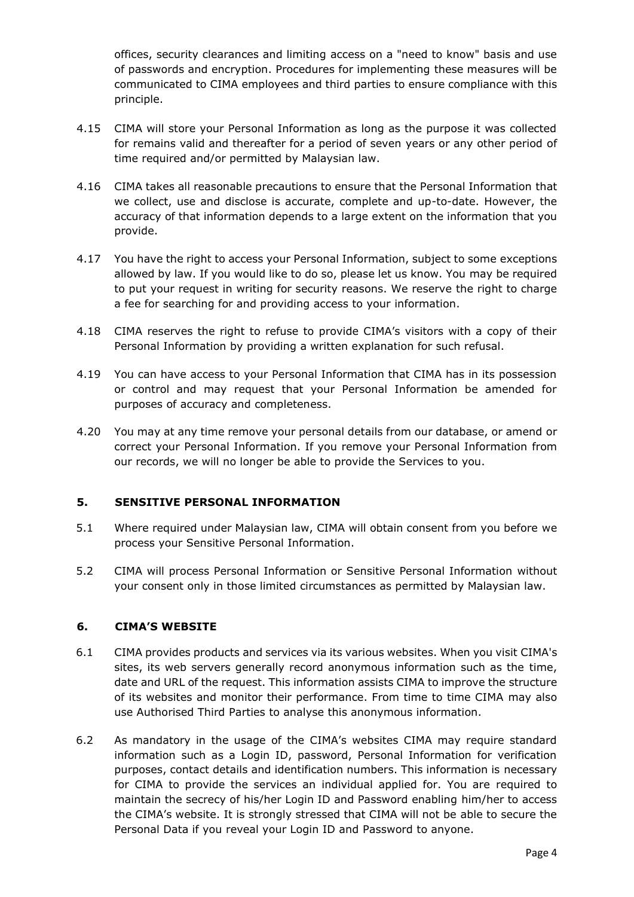offices, security clearances and limiting access on a "need to know" basis and use of passwords and encryption. Procedures for implementing these measures will be communicated to CIMA employees and third parties to ensure compliance with this principle.

- 4.15 CIMA will store your Personal Information as long as the purpose it was collected for remains valid and thereafter for a period of seven years or any other period of time required and/or permitted by Malaysian law.
- 4.16 CIMA takes all reasonable precautions to ensure that the Personal Information that we collect, use and disclose is accurate, complete and up-to-date. However, the accuracy of that information depends to a large extent on the information that you provide.
- 4.17 You have the right to access your Personal Information, subject to some exceptions allowed by law. If you would like to do so, please let us know. You may be required to put your request in writing for security reasons. We reserve the right to charge a fee for searching for and providing access to your information.
- 4.18 CIMA reserves the right to refuse to provide CIMA's visitors with a copy of their Personal Information by providing a written explanation for such refusal.
- 4.19 You can have access to your Personal Information that CIMA has in its possession or control and may request that your Personal Information be amended for purposes of accuracy and completeness.
- 4.20 You may at any time remove your personal details from our database, or amend or correct your Personal Information. If you remove your Personal Information from our records, we will no longer be able to provide the Services to you.

# **5. SENSITIVE PERSONAL INFORMATION**

- 5.1 Where required under Malaysian law, CIMA will obtain consent from you before we process your Sensitive Personal Information.
- 5.2 CIMA will process Personal Information or Sensitive Personal Information without your consent only in those limited circumstances as permitted by Malaysian law.

#### **6. CIMA'S WEBSITE**

- 6.1 CIMA provides products and services via its various websites. When you visit CIMA's sites, its web servers generally record anonymous information such as the time, date and URL of the request. This information assists CIMA to improve the structure of its websites and monitor their performance. From time to time CIMA may also use Authorised Third Parties to analyse this anonymous information.
- 6.2 As mandatory in the usage of the CIMA's websites CIMA may require standard information such as a Login ID, password, Personal Information for verification purposes, contact details and identification numbers. This information is necessary for CIMA to provide the services an individual applied for. You are required to maintain the secrecy of his/her Login ID and Password enabling him/her to access the CIMA's website. It is strongly stressed that CIMA will not be able to secure the Personal Data if you reveal your Login ID and Password to anyone.